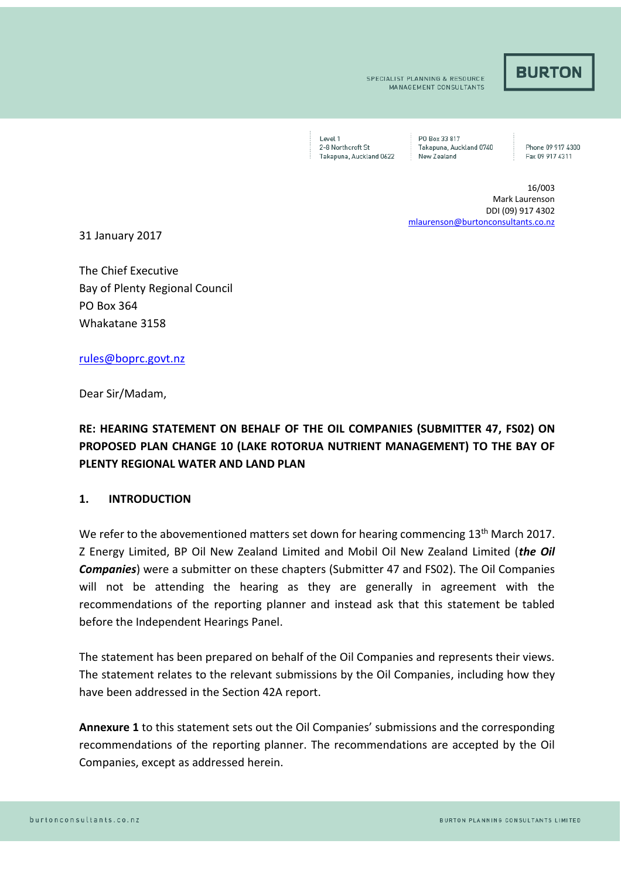## **BURTON**

SPECIALIST PLANNING & RESOURCE **MANAGEMENT CONSULTANTS** 

Level 1 2-8 Northcroft St Takapuna, Auckland 0622

P0 Box 33 817 Takapuna, Auckland 0740 New Zealand

Phone 09 917 4300 Fax 09 917 4311

16/003 Mark Laurenson DDI (09) 917 4302 [mlaurenson@burtonconsultants.co.nz](mailto:mlaurenson@burtonconsultants.co.nz)

31 January 2017

The Chief Executive Bay of Plenty Regional Council PO Box 364 Whakatane 3158

[rules@boprc.govt.nz](mailto:violet.hape@whakatane.govt.nz)

Dear Sir/Madam,

## **RE: HEARING STATEMENT ON BEHALF OF THE OIL COMPANIES (SUBMITTER 47, FS02) ON PROPOSED PLAN CHANGE 10 (LAKE ROTORUA NUTRIENT MANAGEMENT) TO THE BAY OF PLENTY REGIONAL WATER AND LAND PLAN**

## **1. INTRODUCTION**

We refer to the abovementioned matters set down for hearing commencing 13<sup>th</sup> March 2017. Z Energy Limited, BP Oil New Zealand Limited and Mobil Oil New Zealand Limited (*the Oil Companies*) were a submitter on these chapters (Submitter 47 and FS02). The Oil Companies will not be attending the hearing as they are generally in agreement with the recommendations of the reporting planner and instead ask that this statement be tabled before the Independent Hearings Panel.

The statement has been prepared on behalf of the Oil Companies and represents their views. The statement relates to the relevant submissions by the Oil Companies, including how they have been addressed in the Section 42A report.

**Annexure 1** to this statement sets out the Oil Companies' submissions and the corresponding recommendations of the reporting planner. The recommendations are accepted by the Oil Companies, except as addressed herein.